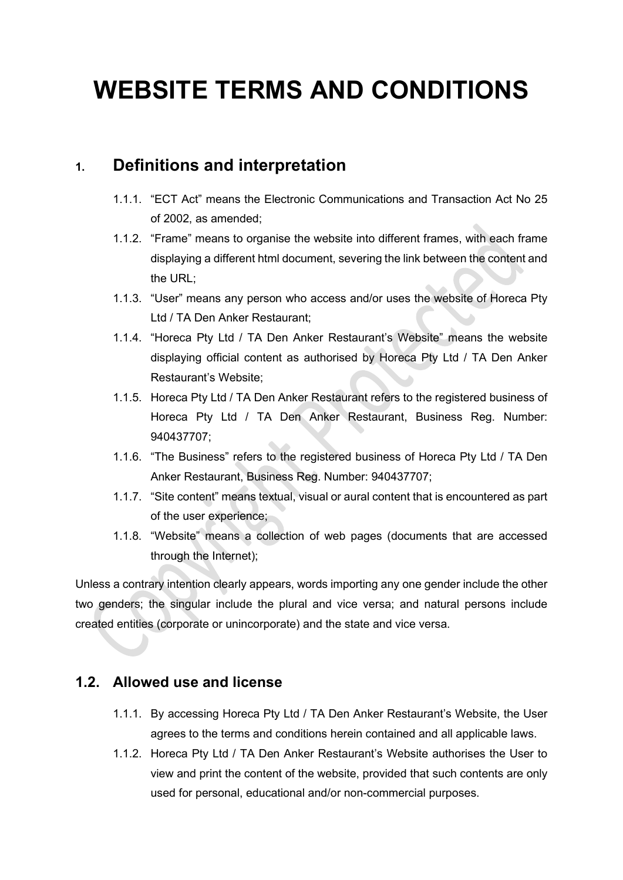# **WEBSITE TERMS AND CONDITIONS**

# **1. Definitions and interpretation**

- 1.1.1. "ECT Act" means the Electronic Communications and Transaction Act No 25 of 2002, as amended;
- 1.1.2. "Frame" means to organise the website into different frames, with each frame displaying a different html document, severing the link between the content and the URL;
- 1.1.3. "User" means any person who access and/or uses the website of Horeca Pty Ltd / TA Den Anker Restaurant;
- 1.1.4. "Horeca Pty Ltd / TA Den Anker Restaurant's Website" means the website displaying official content as authorised by Horeca Pty Ltd / TA Den Anker Restaurant's Website;
- 1.1.5. Horeca Pty Ltd / TA Den Anker Restaurant refers to the registered business of Horeca Pty Ltd / TA Den Anker Restaurant, Business Reg. Number: 940437707;
- 1.1.6. "The Business" refers to the registered business of Horeca Pty Ltd / TA Den Anker Restaurant, Business Reg. Number: 940437707;
- 1.1.7. "Site content" means textual, visual or aural content that is encountered as part of the user experience;
- 1.1.8. "Website" means a collection of web pages (documents that are accessed through the Internet);

Unless a contrary intention clearly appears, words importing any one gender include the other two genders; the singular include the plural and vice versa; and natural persons include created entities (corporate or unincorporate) and the state and vice versa.

### **1.2. Allowed use and license**

- 1.1.1. By accessing Horeca Pty Ltd / TA Den Anker Restaurant's Website, the User agrees to the terms and conditions herein contained and all applicable laws.
- 1.1.2. Horeca Pty Ltd / TA Den Anker Restaurant's Website authorises the User to view and print the content of the website, provided that such contents are only used for personal, educational and/or non-commercial purposes.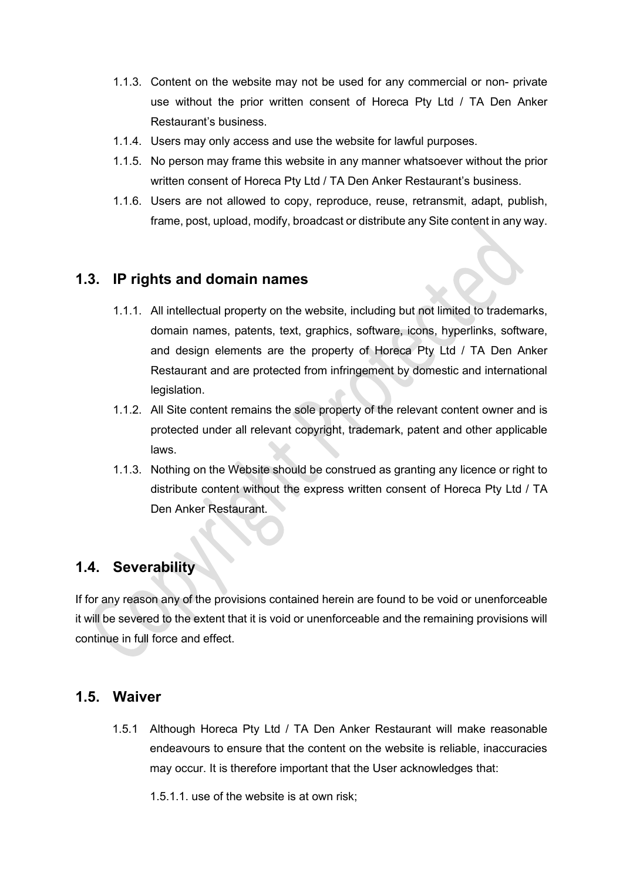- 1.1.3. Content on the website may not be used for any commercial or non- private use without the prior written consent of Horeca Pty Ltd / TA Den Anker Restaurant's business.
- 1.1.4. Users may only access and use the website for lawful purposes.
- 1.1.5. No person may frame this website in any manner whatsoever without the prior written consent of Horeca Pty Ltd / TA Den Anker Restaurant's business.
- 1.1.6. Users are not allowed to copy, reproduce, reuse, retransmit, adapt, publish, frame, post, upload, modify, broadcast or distribute any Site content in any way.

### **1.3. IP rights and domain names**

- 1.1.1. All intellectual property on the website, including but not limited to trademarks, domain names, patents, text, graphics, software, icons, hyperlinks, software, and design elements are the property of Horeca Pty Ltd / TA Den Anker Restaurant and are protected from infringement by domestic and international legislation.
- 1.1.2. All Site content remains the sole property of the relevant content owner and is protected under all relevant copyright, trademark, patent and other applicable laws.
- 1.1.3. Nothing on the Website should be construed as granting any licence or right to distribute content without the express written consent of Horeca Pty Ltd / TA Den Anker Restaurant.

### **1.4. Severability**

If for any reason any of the provisions contained herein are found to be void or unenforceable it will be severed to the extent that it is void or unenforceable and the remaining provisions will continue in full force and effect.

#### **1.5. Waiver**

1.5.1 Although Horeca Pty Ltd / TA Den Anker Restaurant will make reasonable endeavours to ensure that the content on the website is reliable, inaccuracies may occur. It is therefore important that the User acknowledges that:

1.5.1.1. use of the website is at own risk;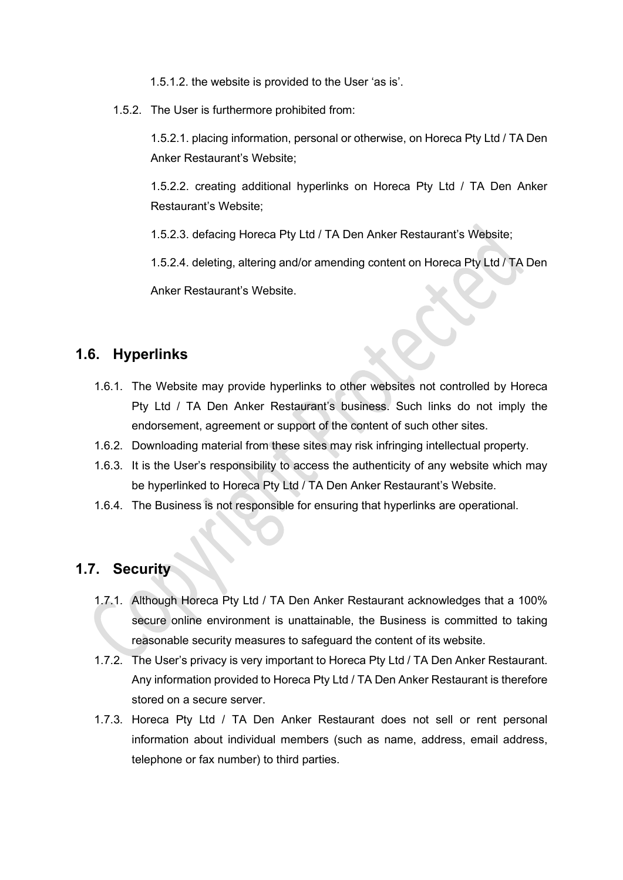1.5.1.2. the website is provided to the User 'as is'.

1.5.2. The User is furthermore prohibited from:

1.5.2.1. placing information, personal or otherwise, on Horeca Pty Ltd / TA Den Anker Restaurant's Website;

1.5.2.2. creating additional hyperlinks on Horeca Pty Ltd / TA Den Anker Restaurant's Website;

1.5.2.3. defacing Horeca Pty Ltd / TA Den Anker Restaurant's Website;

1.5.2.4. deleting, altering and/or amending content on Horeca Pty Ltd / TA Den

Anker Restaurant's Website.

## **1.6. Hyperlinks**

- 1.6.1. The Website may provide hyperlinks to other websites not controlled by Horeca Pty Ltd / TA Den Anker Restaurant's business. Such links do not imply the endorsement, agreement or support of the content of such other sites.
- 1.6.2. Downloading material from these sites may risk infringing intellectual property.
- 1.6.3. It is the User's responsibility to access the authenticity of any website which may be hyperlinked to Horeca Pty Ltd / TA Den Anker Restaurant's Website.
- 1.6.4. The Business is not responsible for ensuring that hyperlinks are operational.

### **1.7. Security**

- 1.7.1. Although Horeca Pty Ltd / TA Den Anker Restaurant acknowledges that a 100% secure online environment is unattainable, the Business is committed to taking reasonable security measures to safeguard the content of its website.
- 1.7.2. The User's privacy is very important to Horeca Pty Ltd / TA Den Anker Restaurant. Any information provided to Horeca Pty Ltd / TA Den Anker Restaurant is therefore stored on a secure server.
- 1.7.3. Horeca Pty Ltd / TA Den Anker Restaurant does not sell or rent personal information about individual members (such as name, address, email address, telephone or fax number) to third parties.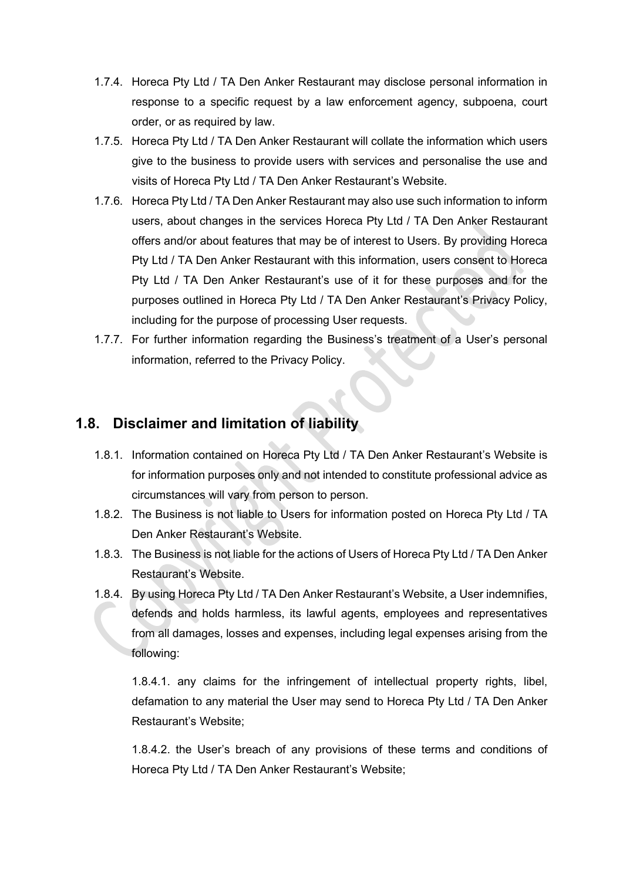- 1.7.4. Horeca Pty Ltd / TA Den Anker Restaurant may disclose personal information in response to a specific request by a law enforcement agency, subpoena, court order, or as required by law.
- 1.7.5. Horeca Pty Ltd / TA Den Anker Restaurant will collate the information which users give to the business to provide users with services and personalise the use and visits of Horeca Pty Ltd / TA Den Anker Restaurant's Website.
- 1.7.6. Horeca Pty Ltd / TA Den Anker Restaurant may also use such information to inform users, about changes in the services Horeca Pty Ltd / TA Den Anker Restaurant offers and/or about features that may be of interest to Users. By providing Horeca Pty Ltd / TA Den Anker Restaurant with this information, users consent to Horeca Pty Ltd / TA Den Anker Restaurant's use of it for these purposes and for the purposes outlined in Horeca Pty Ltd / TA Den Anker Restaurant's Privacy Policy, including for the purpose of processing User requests.
- 1.7.7. For further information regarding the Business's treatment of a User's personal information, referred to the Privacy Policy.

### **1.8. Disclaimer and limitation of liability**

- 1.8.1. Information contained on Horeca Pty Ltd / TA Den Anker Restaurant's Website is for information purposes only and not intended to constitute professional advice as circumstances will vary from person to person.
- 1.8.2. The Business is not liable to Users for information posted on Horeca Pty Ltd / TA Den Anker Restaurant's Website.
- 1.8.3. The Business is not liable for the actions of Users of Horeca Pty Ltd / TA Den Anker Restaurant's Website.
- 1.8.4. By using Horeca Pty Ltd / TA Den Anker Restaurant's Website, a User indemnifies, defends and holds harmless, its lawful agents, employees and representatives from all damages, losses and expenses, including legal expenses arising from the following:

1.8.4.1. any claims for the infringement of intellectual property rights, libel, defamation to any material the User may send to Horeca Pty Ltd / TA Den Anker Restaurant's Website;

1.8.4.2. the User's breach of any provisions of these terms and conditions of Horeca Pty Ltd / TA Den Anker Restaurant's Website;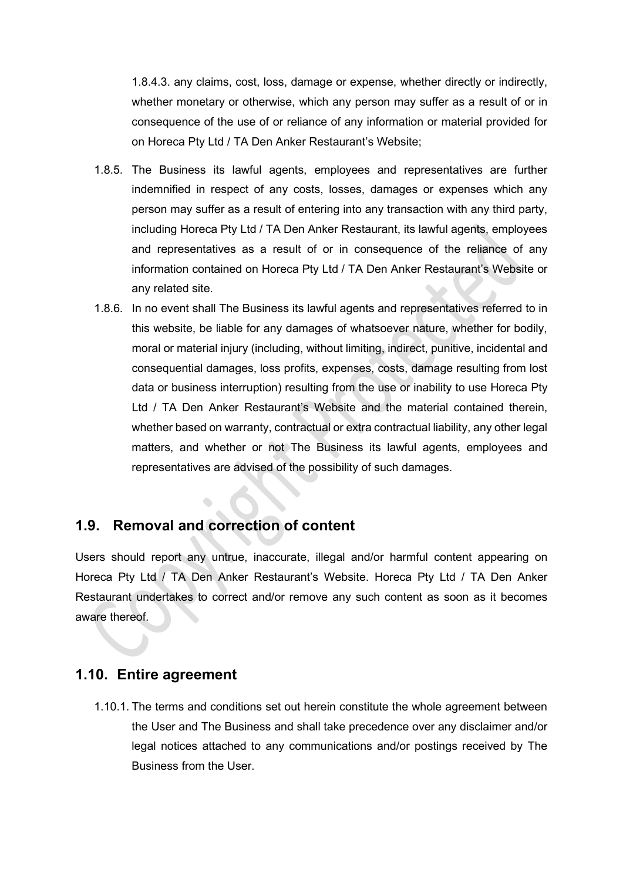1.8.4.3. any claims, cost, loss, damage or expense, whether directly or indirectly, whether monetary or otherwise, which any person may suffer as a result of or in consequence of the use of or reliance of any information or material provided for on Horeca Pty Ltd / TA Den Anker Restaurant's Website;

- 1.8.5. The Business its lawful agents, employees and representatives are further indemnified in respect of any costs, losses, damages or expenses which any person may suffer as a result of entering into any transaction with any third party, including Horeca Pty Ltd / TA Den Anker Restaurant, its lawful agents, employees and representatives as a result of or in consequence of the reliance of any information contained on Horeca Pty Ltd / TA Den Anker Restaurant's Website or any related site.
- 1.8.6. In no event shall The Business its lawful agents and representatives referred to in this website, be liable for any damages of whatsoever nature, whether for bodily, moral or material injury (including, without limiting, indirect, punitive, incidental and consequential damages, loss profits, expenses, costs, damage resulting from lost data or business interruption) resulting from the use or inability to use Horeca Pty Ltd / TA Den Anker Restaurant's Website and the material contained therein, whether based on warranty, contractual or extra contractual liability, any other legal matters, and whether or not The Business its lawful agents, employees and representatives are advised of the possibility of such damages.

### **1.9. Removal and correction of content**

Users should report any untrue, inaccurate, illegal and/or harmful content appearing on Horeca Pty Ltd / TA Den Anker Restaurant's Website. Horeca Pty Ltd / TA Den Anker Restaurant undertakes to correct and/or remove any such content as soon as it becomes aware thereof.

### **1.10. Entire agreement**

1.10.1. The terms and conditions set out herein constitute the whole agreement between the User and The Business and shall take precedence over any disclaimer and/or legal notices attached to any communications and/or postings received by The Business from the User.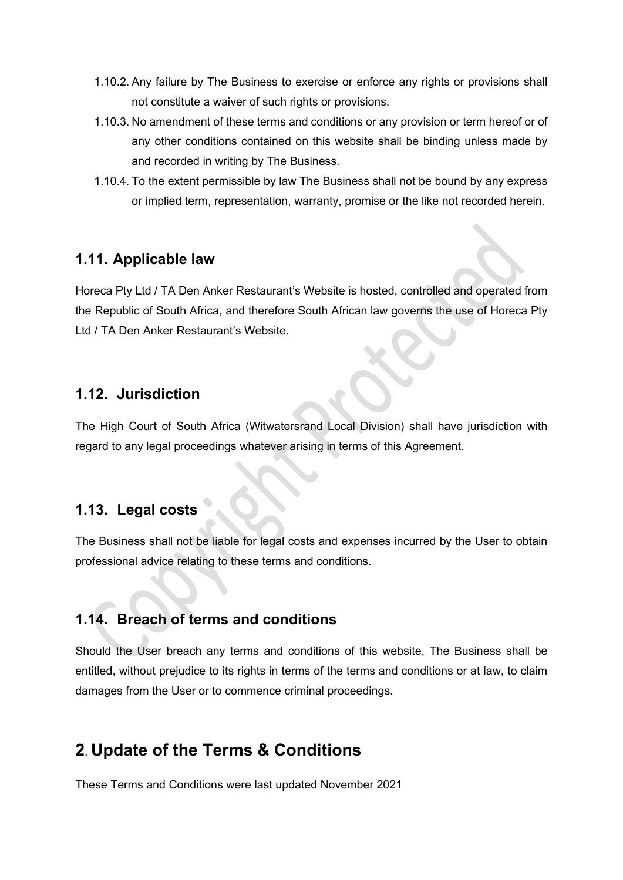- 1.10.2. Any failure by The Business to exercise or enforce any rights or provisions shall not constitute a waiver of such rights or provisions.
- 1.10.3. No amendment of these terms and conditions or any provision or term hereof or of any other conditions contained on this website shall be binding unless made by and recorded in writing by The Business.
- 1.10.4. To the extent permissible by law The Business shall not be bound by any express or implied term, representation, warranty, promise or the like not recorded herein.

#### **1.11. Applicable law**

Horeca Pty Ltd / TA Den Anker Restaurant's Website is hosted, controlled and operated from the Republic of South Africa, and therefore South African law governs the use of Horeca Pty Ltd / TA Den Anker Restaurant's Website.

#### **1.12. Jurisdiction**

The High Court of South Africa (Witwatersrand Local Division) shall have jurisdiction with regard to any legal proceedings whatever arising in terms of this Agreement.

## **1.13. Legal costs**

The Business shall not be liable for legal costs and expenses incurred by the User to obtain professional advice relating to these terms and conditions.

## **1.14. Breach of terms and conditions**

Should the User breach any terms and conditions of this website, The Business shall be entitled, without prejudice to its rights in terms of the terms and conditions or at law, to claim damages from the User or to commence criminal proceedings.

# **2**. **Update of the Terms & Conditions**

These Terms and Conditions were last updated November 2021